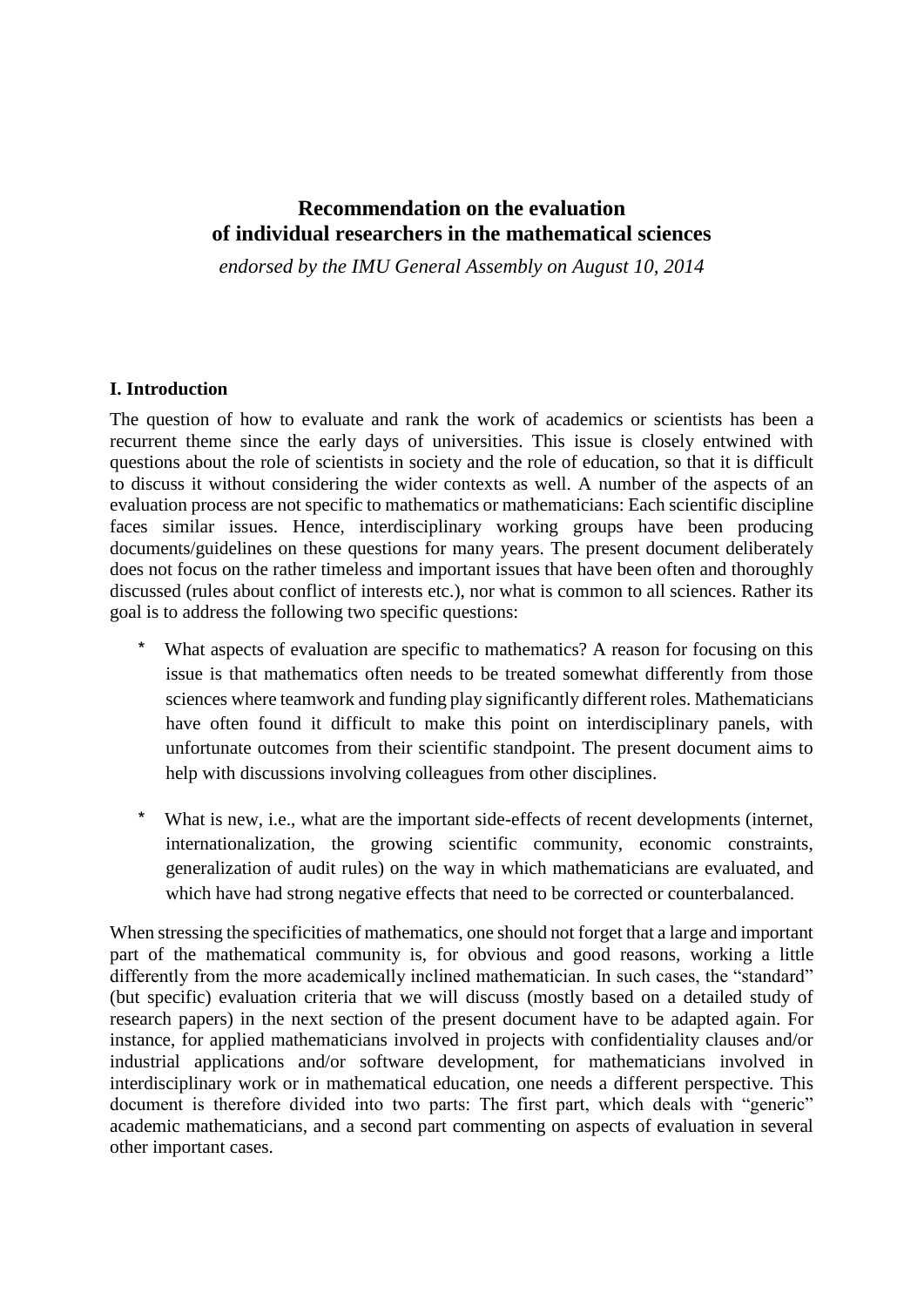# **Recommendation on the evaluation of individual researchers in the mathematical sciences**

*endorsed by the IMU General Assembly on August 10, 2014*

#### **I. Introduction**

The question of how to evaluate and rank the work of academics or scientists has been a recurrent theme since the early days of universities. This issue is closely entwined with questions about the role of scientists in society and the role of education, so that it is difficult to discuss it without considering the wider contexts as well. A number of the aspects of an evaluation process are not specific to mathematics or mathematicians: Each scientific discipline faces similar issues. Hence, interdisciplinary working groups have been producing documents/guidelines on these questions for many years. The present document deliberately does not focus on the rather timeless and important issues that have been often and thoroughly discussed (rules about conflict of interests etc.), nor what is common to all sciences. Rather its goal is to address the following two specific questions:

- \* What aspects of evaluation are specific to mathematics? A reason for focusing on this issue is that mathematics often needs to be treated somewhat differently from those sciences where teamwork and funding play significantly different roles. Mathematicians have often found it difficult to make this point on interdisciplinary panels, with unfortunate outcomes from their scientific standpoint. The present document aims to help with discussions involving colleagues from other disciplines.
- \* What is new, i.e., what are the important side-effects of recent developments (internet, internationalization, the growing scientific community, economic constraints, generalization of audit rules) on the way in which mathematicians are evaluated, and which have had strong negative effects that need to be corrected or counterbalanced.

When stressing the specificities of mathematics, one should not forget that a large and important part of the mathematical community is, for obvious and good reasons, working a little differently from the more academically inclined mathematician. In such cases, the "standard" (but specific) evaluation criteria that we will discuss (mostly based on a detailed study of research papers) in the next section of the present document have to be adapted again. For instance, for applied mathematicians involved in projects with confidentiality clauses and/or industrial applications and/or software development, for mathematicians involved in interdisciplinary work or in mathematical education, one needs a different perspective. This document is therefore divided into two parts: The first part, which deals with "generic" academic mathematicians, and a second part commenting on aspects of evaluation in several other important cases.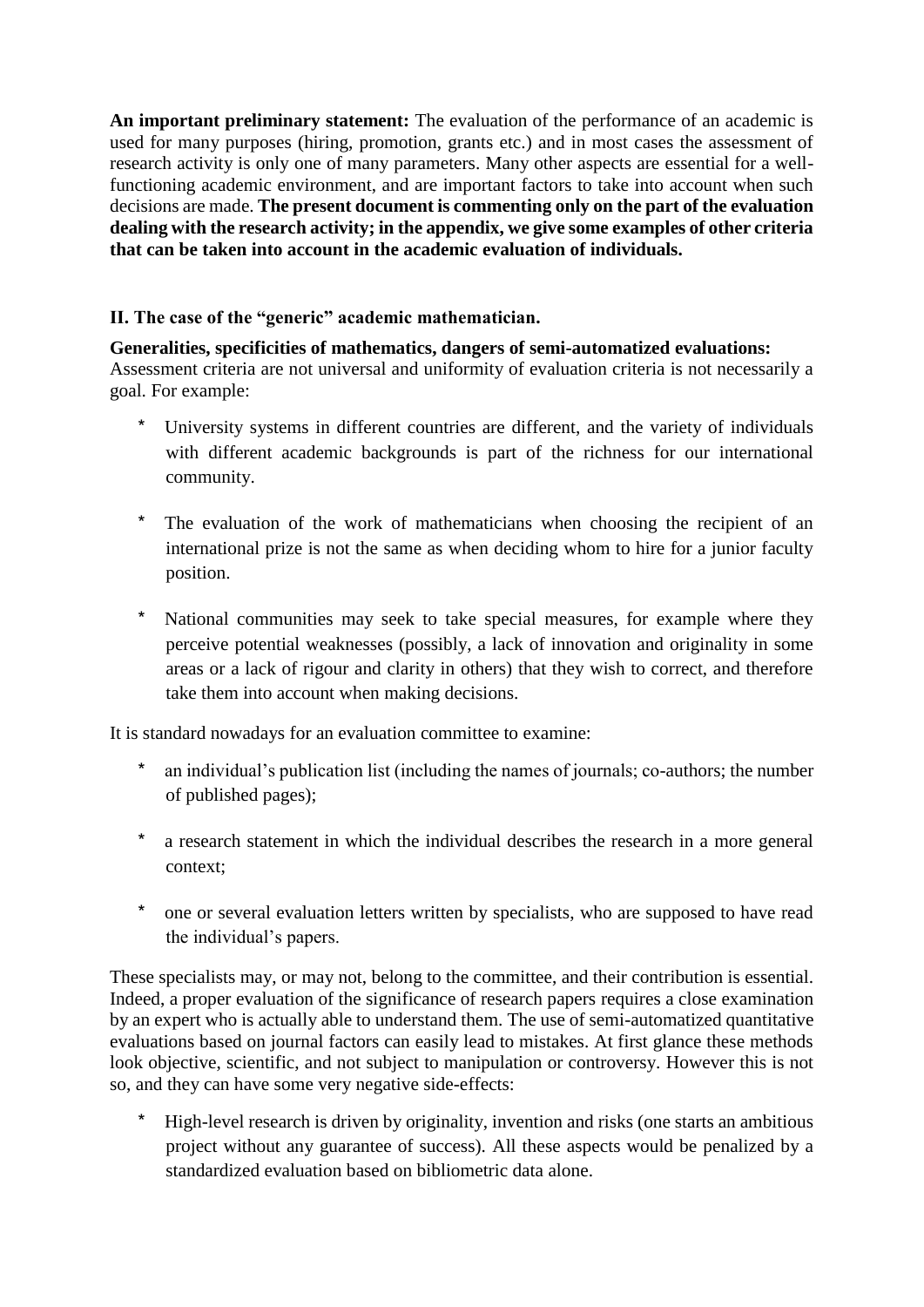**An important preliminary statement:** The evaluation of the performance of an academic is used for many purposes (hiring, promotion, grants etc.) and in most cases the assessment of research activity is only one of many parameters. Many other aspects are essential for a wellfunctioning academic environment, and are important factors to take into account when such decisions are made. **The present document is commenting only on the part of the evaluation dealing with the research activity; in the appendix, we give some examples of other criteria that can be taken into account in the academic evaluation of individuals.** 

# **II. The case of the "generic" academic mathematician.**

#### **Generalities, specificities of mathematics, dangers of semi-automatized evaluations:** Assessment criteria are not universal and uniformity of evaluation criteria is not necessarily a goal. For example:

- \* University systems in different countries are different, and the variety of individuals with different academic backgrounds is part of the richness for our international community.
- \* The evaluation of the work of mathematicians when choosing the recipient of an international prize is not the same as when deciding whom to hire for a junior faculty position.
- \* National communities may seek to take special measures, for example where they perceive potential weaknesses (possibly, a lack of innovation and originality in some areas or a lack of rigour and clarity in others) that they wish to correct, and therefore take them into account when making decisions.

It is standard nowadays for an evaluation committee to examine:

- \* an individual's publication list (including the names of journals; co-authors; the number of published pages);
- \* a research statement in which the individual describes the research in a more general context;
- \* one or several evaluation letters written by specialists, who are supposed to have read the individual's papers.

These specialists may, or may not, belong to the committee, and their contribution is essential. Indeed, a proper evaluation of the significance of research papers requires a close examination by an expert who is actually able to understand them. The use of semi-automatized quantitative evaluations based on journal factors can easily lead to mistakes. At first glance these methods look objective, scientific, and not subject to manipulation or controversy. However this is not so, and they can have some very negative side-effects:

\* High-level research is driven by originality, invention and risks (one starts an ambitious project without any guarantee of success). All these aspects would be penalized by a standardized evaluation based on bibliometric data alone.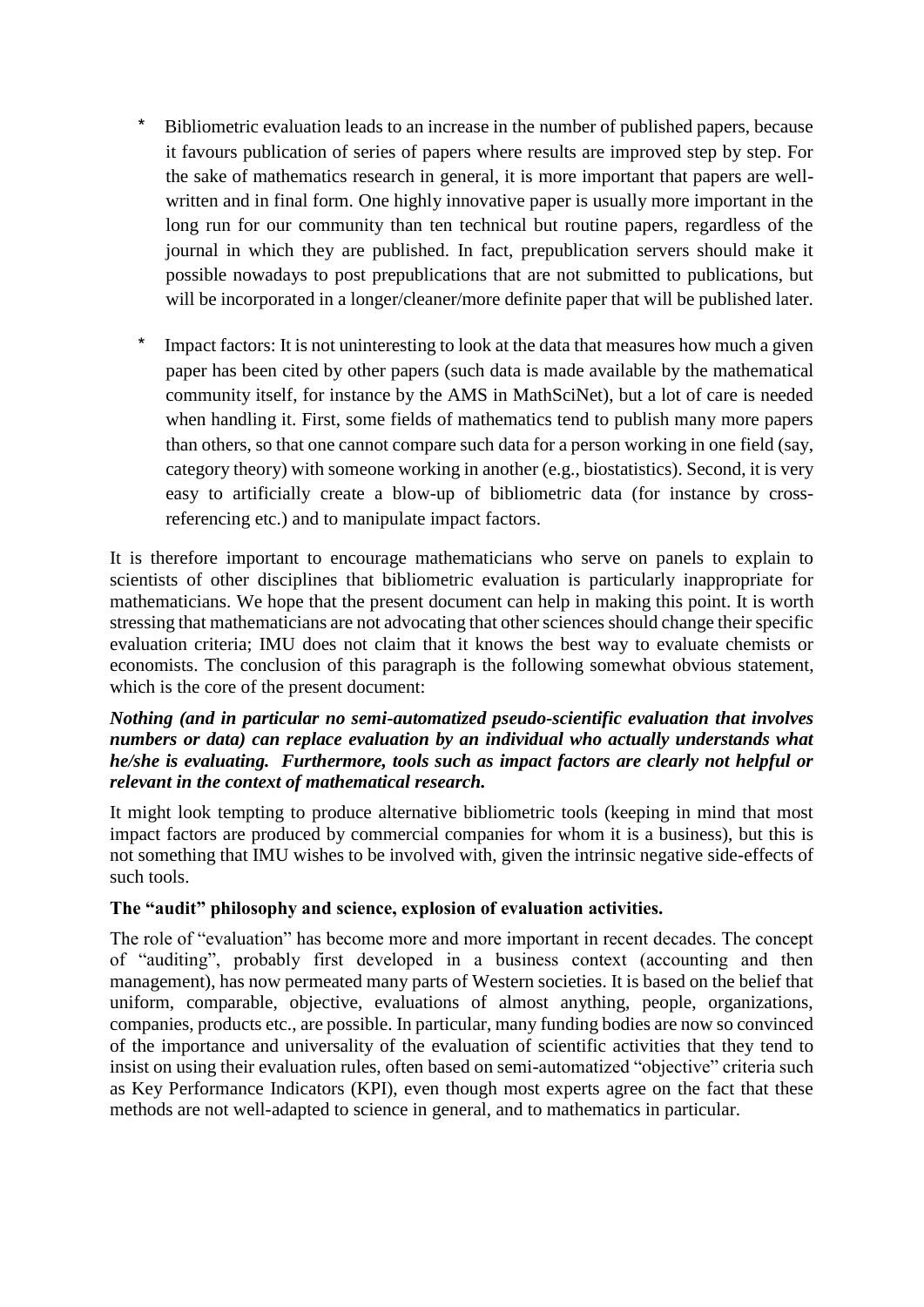- \* Bibliometric evaluation leads to an increase in the number of published papers, because it favours publication of series of papers where results are improved step by step. For the sake of mathematics research in general, it is more important that papers are wellwritten and in final form. One highly innovative paper is usually more important in the long run for our community than ten technical but routine papers, regardless of the journal in which they are published. In fact, prepublication servers should make it possible nowadays to post prepublications that are not submitted to publications, but will be incorporated in a longer/cleaner/more definite paper that will be published later.
- \* Impact factors: It is not uninteresting to look at the data that measures how much a given paper has been cited by other papers (such data is made available by the mathematical community itself, for instance by the AMS in MathSciNet), but a lot of care is needed when handling it. First, some fields of mathematics tend to publish many more papers than others, so that one cannot compare such data for a person working in one field (say, category theory) with someone working in another (e.g., biostatistics). Second, it is very easy to artificially create a blow-up of bibliometric data (for instance by crossreferencing etc.) and to manipulate impact factors.

It is therefore important to encourage mathematicians who serve on panels to explain to scientists of other disciplines that bibliometric evaluation is particularly inappropriate for mathematicians. We hope that the present document can help in making this point. It is worth stressing that mathematicians are not advocating that other sciences should change their specific evaluation criteria; IMU does not claim that it knows the best way to evaluate chemists or economists. The conclusion of this paragraph is the following somewhat obvious statement, which is the core of the present document:

#### *Nothing (and in particular no semi-automatized pseudo-scientific evaluation that involves numbers or data) can replace evaluation by an individual who actually understands what he/she is evaluating. Furthermore, tools such as impact factors are clearly not helpful or relevant in the context of mathematical research.*

It might look tempting to produce alternative bibliometric tools (keeping in mind that most impact factors are produced by commercial companies for whom it is a business), but this is not something that IMU wishes to be involved with, given the intrinsic negative side-effects of such tools.

## **The "audit" philosophy and science, explosion of evaluation activities.**

The role of "evaluation" has become more and more important in recent decades. The concept of "auditing", probably first developed in a business context (accounting and then management), has now permeated many parts of Western societies. It is based on the belief that uniform, comparable, objective, evaluations of almost anything, people, organizations, companies, products etc., are possible. In particular, many funding bodies are now so convinced of the importance and universality of the evaluation of scientific activities that they tend to insist on using their evaluation rules, often based on semi-automatized "objective" criteria such as Key Performance Indicators (KPI), even though most experts agree on the fact that these methods are not well-adapted to science in general, and to mathematics in particular.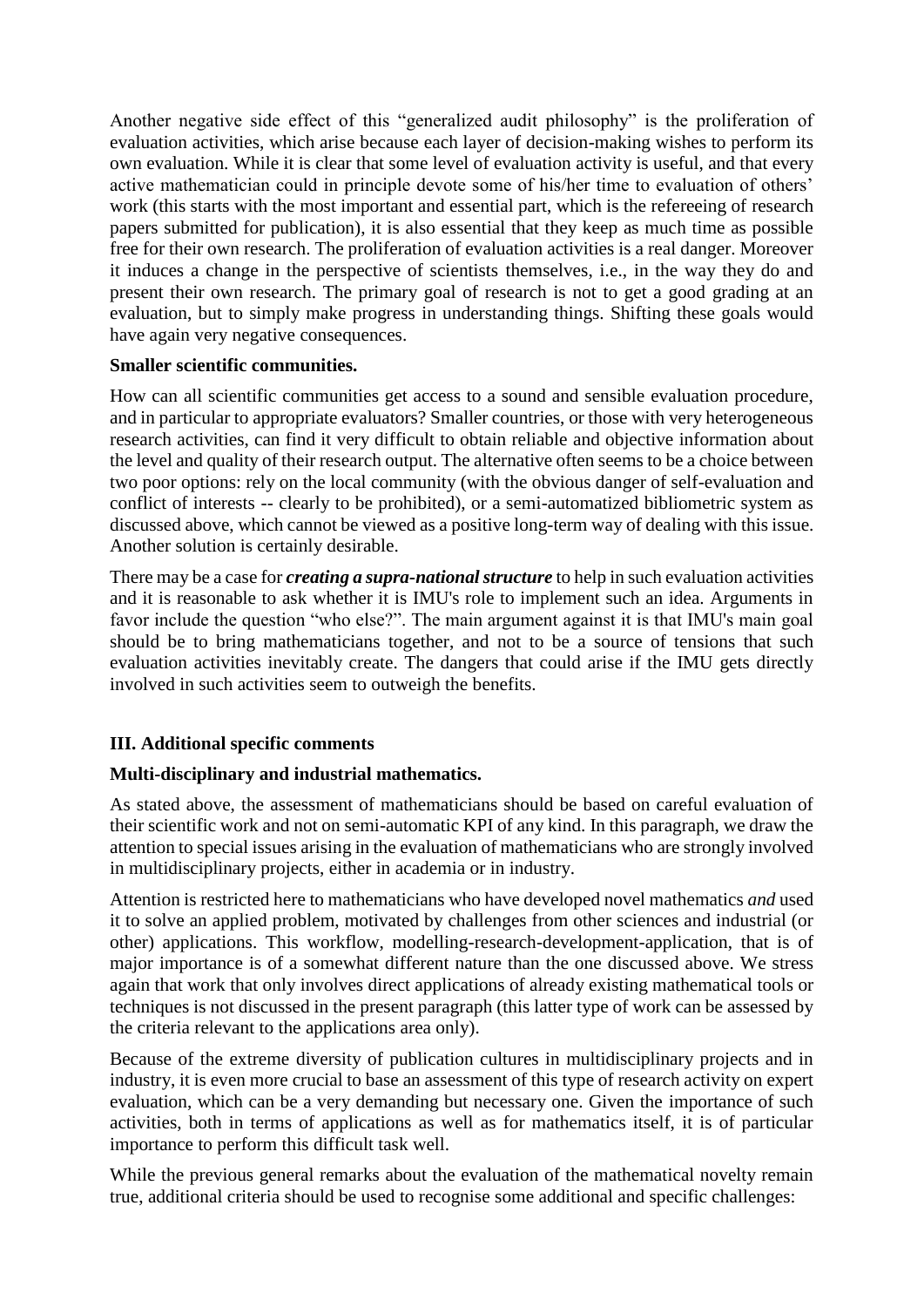Another negative side effect of this "generalized audit philosophy" is the proliferation of evaluation activities, which arise because each layer of decision-making wishes to perform its own evaluation. While it is clear that some level of evaluation activity is useful, and that every active mathematician could in principle devote some of his/her time to evaluation of others' work (this starts with the most important and essential part, which is the refereeing of research papers submitted for publication), it is also essential that they keep as much time as possible free for their own research. The proliferation of evaluation activities is a real danger. Moreover it induces a change in the perspective of scientists themselves, i.e., in the way they do and present their own research. The primary goal of research is not to get a good grading at an evaluation, but to simply make progress in understanding things. Shifting these goals would have again very negative consequences.

#### **Smaller scientific communities.**

How can all scientific communities get access to a sound and sensible evaluation procedure, and in particular to appropriate evaluators? Smaller countries, or those with very heterogeneous research activities, can find it very difficult to obtain reliable and objective information about the level and quality of their research output. The alternative often seems to be a choice between two poor options: rely on the local community (with the obvious danger of self-evaluation and conflict of interests -- clearly to be prohibited), or a semi-automatized bibliometric system as discussed above, which cannot be viewed as a positive long-term way of dealing with this issue. Another solution is certainly desirable.

There may be a case for *creating a supra-national structure* to help in such evaluation activities and it is reasonable to ask whether it is IMU's role to implement such an idea. Arguments in favor include the question "who else?". The main argument against it is that IMU's main goal should be to bring mathematicians together, and not to be a source of tensions that such evaluation activities inevitably create. The dangers that could arise if the IMU gets directly involved in such activities seem to outweigh the benefits.

# **III. Additional specific comments**

## **Multi-disciplinary and industrial mathematics.**

As stated above, the assessment of mathematicians should be based on careful evaluation of their scientific work and not on semi-automatic KPI of any kind. In this paragraph, we draw the attention to special issues arising in the evaluation of mathematicians who are strongly involved in multidisciplinary projects, either in academia or in industry.

Attention is restricted here to mathematicians who have developed novel mathematics *and* used it to solve an applied problem, motivated by challenges from other sciences and industrial (or other) applications. This workflow, modelling-research-development-application, that is of major importance is of a somewhat different nature than the one discussed above. We stress again that work that only involves direct applications of already existing mathematical tools or techniques is not discussed in the present paragraph (this latter type of work can be assessed by the criteria relevant to the applications area only).

Because of the extreme diversity of publication cultures in multidisciplinary projects and in industry, it is even more crucial to base an assessment of this type of research activity on expert evaluation, which can be a very demanding but necessary one. Given the importance of such activities, both in terms of applications as well as for mathematics itself, it is of particular importance to perform this difficult task well.

While the previous general remarks about the evaluation of the mathematical novelty remain true, additional criteria should be used to recognise some additional and specific challenges: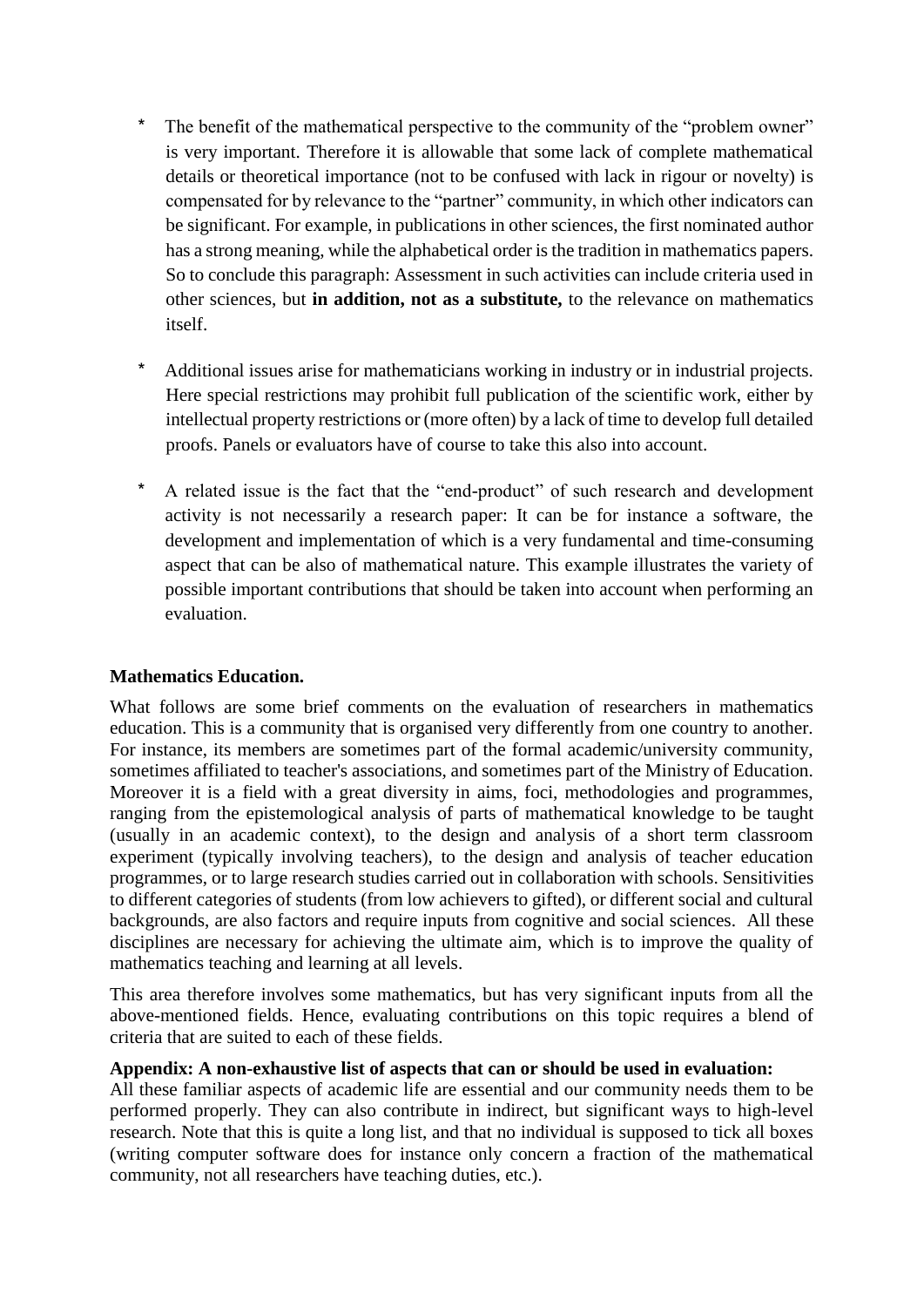- \* The benefit of the mathematical perspective to the community of the "problem owner" is very important. Therefore it is allowable that some lack of complete mathematical details or theoretical importance (not to be confused with lack in rigour or novelty) is compensated for by relevance to the "partner" community, in which other indicators can be significant. For example, in publications in other sciences, the first nominated author has a strong meaning, while the alphabetical order is the tradition in mathematics papers. So to conclude this paragraph: Assessment in such activities can include criteria used in other sciences, but **in addition, not as a substitute,** to the relevance on mathematics itself.
- \* Additional issues arise for mathematicians working in industry or in industrial projects. Here special restrictions may prohibit full publication of the scientific work, either by intellectual property restrictions or (more often) by a lack of time to develop full detailed proofs. Panels or evaluators have of course to take this also into account.
- A related issue is the fact that the "end-product" of such research and development activity is not necessarily a research paper: It can be for instance a software, the development and implementation of which is a very fundamental and time-consuming aspect that can be also of mathematical nature. This example illustrates the variety of possible important contributions that should be taken into account when performing an evaluation.

## **Mathematics Education.**

What follows are some brief comments on the evaluation of researchers in mathematics education. This is a community that is organised very differently from one country to another. For instance, its members are sometimes part of the formal academic/university community, sometimes affiliated to teacher's associations, and sometimes part of the Ministry of Education. Moreover it is a field with a great diversity in aims, foci, methodologies and programmes, ranging from the epistemological analysis of parts of mathematical knowledge to be taught (usually in an academic context), to the design and analysis of a short term classroom experiment (typically involving teachers), to the design and analysis of teacher education programmes, or to large research studies carried out in collaboration with schools. Sensitivities to different categories of students (from low achievers to gifted), or different social and cultural backgrounds, are also factors and require inputs from cognitive and social sciences. All these disciplines are necessary for achieving the ultimate aim, which is to improve the quality of mathematics teaching and learning at all levels.

This area therefore involves some mathematics, but has very significant inputs from all the above-mentioned fields. Hence, evaluating contributions on this topic requires a blend of criteria that are suited to each of these fields.

#### **Appendix: A non-exhaustive list of aspects that can or should be used in evaluation:**

All these familiar aspects of academic life are essential and our community needs them to be performed properly. They can also contribute in indirect, but significant ways to high-level research. Note that this is quite a long list, and that no individual is supposed to tick all boxes (writing computer software does for instance only concern a fraction of the mathematical community, not all researchers have teaching duties, etc.).